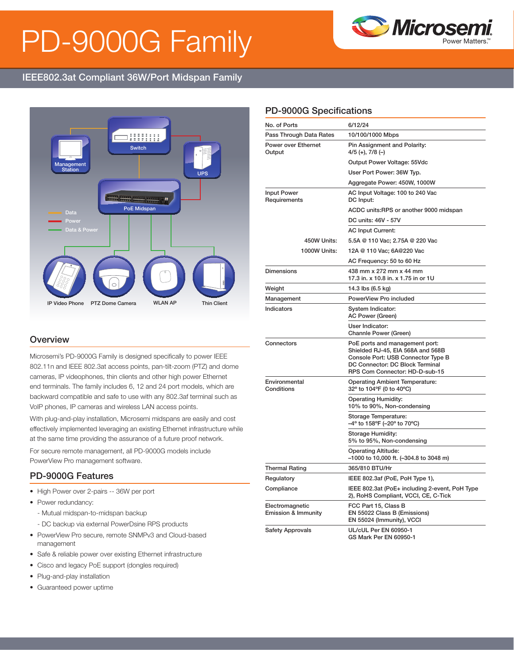# PD-9000G Family



# IEEE802.3at Compliant 36W/Port Midspan Family



#### **Overview**

Microsemi's PD-9000G Family is designed specifically to power IEEE 802.11n and IEEE 802.3at access points, pan-tilt-zoom (PTZ) and dome cameras, IP videophones, thin clients and other high power Ethernet end terminals. The family includes 6, 12 and 24 port models, which are backward compatible and safe to use with any 802.3af terminal such as VoIP phones, IP cameras and wireless LAN access points.

With plug-and-play installation, Microsemi midspans are easily and cost effectively implemented leveraging an existing Ethernet infrastructure while at the same time providing the assurance of a future proof network.

For secure remote management, all PD-9000G models include PowerView Pro management software.

#### PD-9000G Features

- High Power over 2-pairs -- 36W per port
- Power redundancy:
	- Mutual midspan-to-midspan backup
	- DC backup via external PowerDsine RPS products
- PowerView Pro secure, remote SNMPv3 and Cloud-based management
- Safe & reliable power over existing Ethernet infrastructure
- Cisco and legacy PoE support (dongles required)
- Plug-and-play installation
- Guaranteed power uptime

### PD-9000G Specifications

| No. of Ports                                      | 6/12/24                                                                                                                                                                        |  |
|---------------------------------------------------|--------------------------------------------------------------------------------------------------------------------------------------------------------------------------------|--|
| Pass Through Data Rates                           | 10/100/1000 Mbps                                                                                                                                                               |  |
| Power over Ethernet<br>Output                     | Pin Assignment and Polarity:<br>4/5 (+), 7/8 (–)                                                                                                                               |  |
|                                                   | Output Power Voltage: 55Vdc                                                                                                                                                    |  |
|                                                   | User Port Power: 36W Typ.                                                                                                                                                      |  |
|                                                   | Aggregate Power: 450W, 1000W                                                                                                                                                   |  |
| <b>Input Power</b><br>Requirements                | AC Input Voltage: 100 to 240 Vac<br>DC Input:                                                                                                                                  |  |
|                                                   | ACDC units:RPS or another 9000 midspan                                                                                                                                         |  |
|                                                   | DC units: 46V - 57V                                                                                                                                                            |  |
|                                                   | <b>AC Input Current:</b>                                                                                                                                                       |  |
| 450W Units:                                       | 5.5A @ 110 Vac; 2.75A @ 220 Vac                                                                                                                                                |  |
| 1000W Units:                                      | 12A @ 110 Vac; 6A@220 Vac                                                                                                                                                      |  |
|                                                   | AC Frequency: 50 to 60 Hz                                                                                                                                                      |  |
| <b>Dimensions</b>                                 | 438 mm x 272 mm x 44 mm<br>17.3 in. x 10.8 in. x 1.75 in or 1U                                                                                                                 |  |
| Weight                                            | 14.3 lbs (6.5 kg)                                                                                                                                                              |  |
| Management                                        | PowerView Pro included                                                                                                                                                         |  |
| Indicators                                        | System Indicator:<br>AC Power (Green)                                                                                                                                          |  |
|                                                   | User Indicator:<br>Channle Power (Green)                                                                                                                                       |  |
| Connectors                                        | PoE ports and management port:<br>Shielded RJ-45, EIA 568A and 568B<br>Console Port: USB Connector Type B<br>DC Connector: DC Block Terminal<br>RPS Com Connector: HD-D-sub-15 |  |
| Environmental<br>Conditions                       | <b>Operating Ambient Temperature:</b><br>32° to 104°F (0 to 40°C)                                                                                                              |  |
|                                                   | <b>Operating Humidity:</b><br>10% to 90%, Non-condensing                                                                                                                       |  |
|                                                   | Storage Temperature:<br>-4° to 158°F (-20° to 70°C)                                                                                                                            |  |
|                                                   | Storage Humidity:<br>5% to 95%, Non-condensing                                                                                                                                 |  |
|                                                   | <b>Operating Altitude:</b><br>-1000 to 10,000 ft. (-304.8 to 3048 m)                                                                                                           |  |
| Thermal Rating                                    | 365/810 BTU/Hr                                                                                                                                                                 |  |
| Regulatory                                        | IEEE 802.3af (PoE, PoH Type 1),                                                                                                                                                |  |
| Compliance                                        | IEEE 802.3at (PoE+ including 2-event, PoH Type<br>2), RoHS Compliant, VCCI, CE, C-Tick                                                                                         |  |
| Electromagnetic<br><b>Emission &amp; Immunity</b> | FCC Part 15, Class B<br>EN 55022 Class B (Emissions)<br>EN 55024 (Immunity), VCCI                                                                                              |  |
| <b>Safety Approvals</b>                           | UL/cUL Per EN 60950-1<br>GS Mark Per EN 60950-1                                                                                                                                |  |